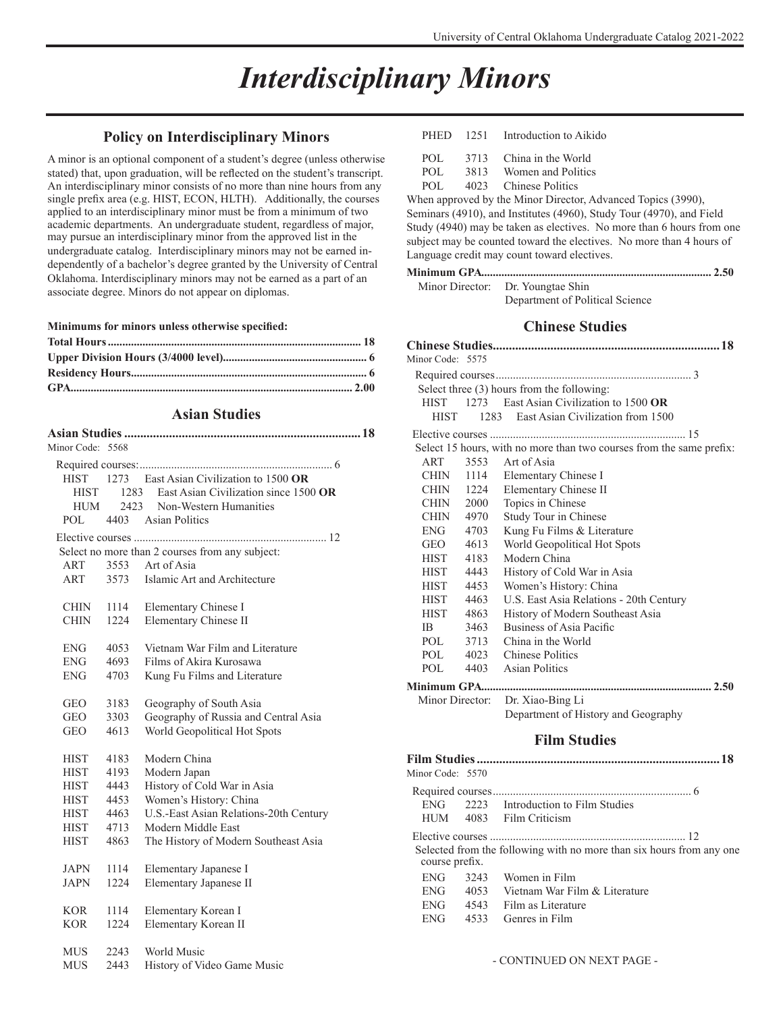# *Interdisciplinary Minors*

### **Policy on Interdisciplinary Minors**

A minor is an optional component of a student's degree (unless otherwise stated) that, upon graduation, will be reflected on the student's transcript. An interdisciplinary minor consists of no more than nine hours from any single prefix area (e.g. HIST, ECON, HLTH). Additionally, the courses applied to an interdisciplinary minor must be from a minimum of two academic departments. An undergraduate student, regardless of major, may pursue an interdisciplinary minor from the approved list in the undergraduate catalog. Interdisciplinary minors may not be earned independently of a bachelor's degree granted by the University of Central Oklahoma. Interdisciplinary minors may not be earned as a part of an associate degree. Minors do not appear on diplomas.

**Minimums for minors unless otherwise specified:**

### **Asian Studies**

| Minor Code: 5568 |      |                                                 |
|------------------|------|-------------------------------------------------|
|                  |      |                                                 |
| <b>HIST</b>      |      | 1273 East Asian Civilization to 1500 OR         |
| <b>HIST</b>      |      | 1283 East Asian Civilization since 1500 OR      |
| HUM              | 2423 | Non-Western Humanities                          |
| POL.             | 4403 | <b>Asian Politics</b>                           |
|                  |      |                                                 |
|                  |      | Select no more than 2 courses from any subject: |
| ART              |      | 3553 Art of Asia                                |
| ART              | 3573 | Islamic Art and Architecture                    |
|                  |      |                                                 |
| CHIN             | 1114 | Elementary Chinese I                            |
| CHIN             | 1224 | Elementary Chinese II                           |
|                  |      |                                                 |
| <b>ENG</b>       | 4053 | Vietnam War Film and Literature                 |
| ENG              | 4693 | Films of Akira Kurosawa                         |
| <b>ENG</b>       | 4703 | Kung Fu Films and Literature                    |
|                  |      |                                                 |
| GEO              | 3183 | Geography of South Asia                         |
| GEO              | 3303 | Geography of Russia and Central Asia            |
| <b>GEO</b>       | 4613 | World Geopolitical Hot Spots                    |
|                  |      |                                                 |
| <b>HIST</b>      | 4183 | Modern China                                    |
| HIST             | 4193 | Modern Japan                                    |
| <b>HIST</b>      | 4443 | History of Cold War in Asia                     |
| <b>HIST</b>      | 4453 | Women's History: China                          |
| HIST             | 4463 | U.S.-East Asian Relations-20th Century          |
| <b>HIST</b>      | 4713 | Modern Middle East                              |
| <b>HIST</b>      | 4863 | The History of Modern Southeast Asia            |
|                  |      |                                                 |
| <b>JAPN</b>      | 1114 | Elementary Japanese I                           |
| JAPN             | 1224 | Elementary Japanese II                          |
|                  |      |                                                 |
| <b>KOR</b>       | 1114 | Elementary Korean I                             |
| <b>KOR</b>       | 1224 | Elementary Korean II                            |
|                  |      |                                                 |
| MUS              | 2243 | World Music                                     |
| MUS              | 2443 | History of Video Game Music                     |

|         | PHED 1251 Introduction to Aikido |
|---------|----------------------------------|
| POL FOR | 3713 China in the World          |
| POL.    | 3813 Women and Politics          |
| POL.    | 4023 Chinese Politics            |
|         |                                  |

When approved by the Minor Director, Advanced Topics (3990), Seminars (4910), and Institutes (4960), Study Tour (4970), and Field Study (4940) may be taken as electives. No more than 6 hours from one subject may be counted toward the electives. No more than 4 hours of Language credit may count toward electives.

#### **Minimum GPA................................................................................ 2.50**

| Minor Director: Dr. Youngtae Shin |
|-----------------------------------|
| Department of Political Science   |

### **Chinese Studies**

| Minor Code: 5575 |      |                                                                      |
|------------------|------|----------------------------------------------------------------------|
|                  |      |                                                                      |
|                  |      | Select three (3) hours from the following:                           |
| <b>HIST</b>      | 1273 | East Asian Civilization to 1500 OR                                   |
| <b>HIST</b>      |      | 1283 East Asian Civilization from 1500                               |
|                  |      |                                                                      |
|                  |      | Select 15 hours, with no more than two courses from the same prefix: |
| ART              |      | 3553 Art of Asia                                                     |
| CHIN             | 1114 | Elementary Chinese I                                                 |
| CHIN             | 1224 | Elementary Chinese II                                                |
| <b>CHIN</b>      | 2000 | Topics in Chinese                                                    |
| <b>CHIN</b>      | 4970 | Study Tour in Chinese                                                |
| ENG              | 4703 | Kung Fu Films & Literature                                           |
| <b>GEO</b>       | 4613 | World Geopolitical Hot Spots                                         |
| <b>HIST</b>      | 4183 | Modern China                                                         |
| <b>HIST</b>      | 4443 | History of Cold War in Asia                                          |
| <b>HIST</b>      | 4453 | Women's History: China                                               |
| <b>HIST</b>      | 4463 | U.S. East Asia Relations - 20th Century                              |
| <b>HIST</b>      | 4863 | History of Modern Southeast Asia                                     |
| IB.              | 3463 | Business of Asia Pacific                                             |
| POL.             | 3713 | China in the World                                                   |
| POL.             | 4023 | Chinese Politics                                                     |
| POL              | 4403 | Asian Politics                                                       |
|                  |      |                                                                      |
| Minor Director:  |      | Dr. Xiao-Bing Li                                                     |
|                  |      | Department of History and Geography                                  |
|                  |      |                                                                      |

### **Film Studies**

| Minor Code: 5570 |      |                                                                      |
|------------------|------|----------------------------------------------------------------------|
|                  |      |                                                                      |
| ENG              |      | 2223 Introduction to Film Studies                                    |
|                  |      | HUM 4083 Film Criticism                                              |
|                  |      |                                                                      |
| course prefix.   |      | Selected from the following with no more than six hours from any one |
| <b>ENG</b>       |      | 3243 Women in Film                                                   |
| <b>ENG</b>       |      | 4053 Vietnam War Film & Literature                                   |
| <b>ENG</b>       | 4543 | Film as Literature                                                   |
| <b>ENG</b>       | 4533 | Genres in Film                                                       |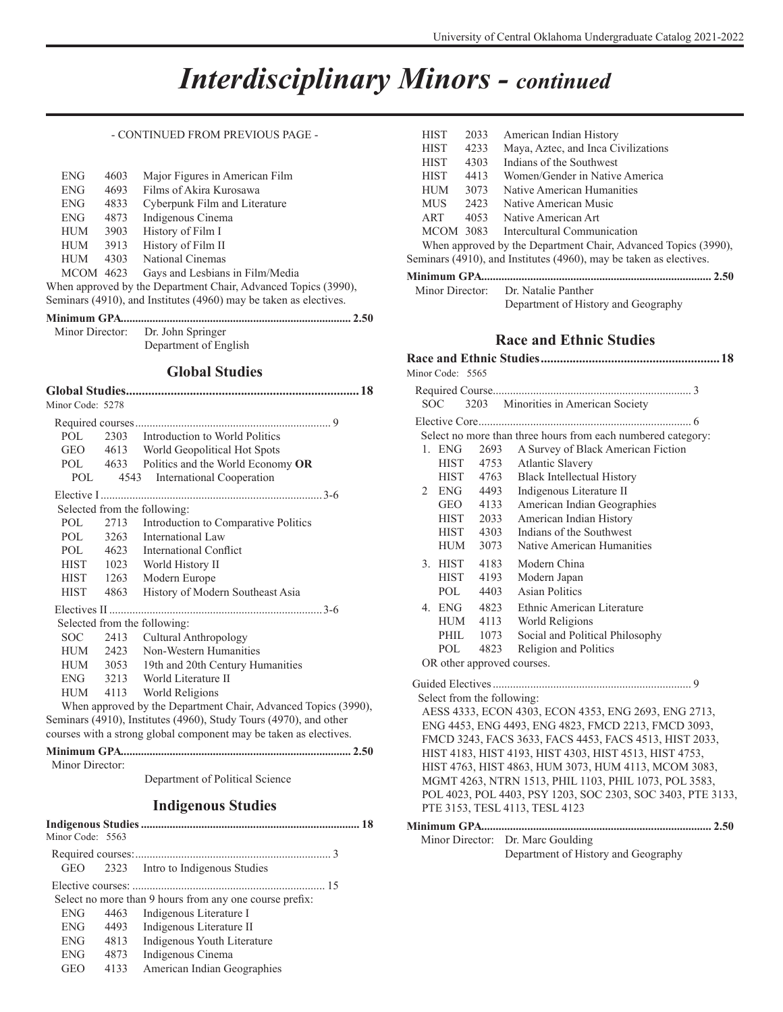### *Interdisciplinary Minors - continued*

#### - CONTINUED FROM PREVIOUS PAGE -

| <b>ENG</b>                                                        | 4603 | Major Figures in American Film  |  |
|-------------------------------------------------------------------|------|---------------------------------|--|
| <b>ENG</b>                                                        | 4693 | Films of Akira Kurosawa         |  |
| <b>ENG</b>                                                        | 4833 | Cyberpunk Film and Literature   |  |
| <b>ENG</b>                                                        | 4873 | Indigenous Cinema               |  |
| <b>HUM</b>                                                        | 3903 | History of Film I               |  |
| <b>HUM</b>                                                        | 3913 | History of Film II              |  |
| <b>HUM</b>                                                        | 4303 | National Cinemas                |  |
| <b>MCOM 4623</b>                                                  |      | Gays and Lesbians in Film/Media |  |
| When approved by the Department Chair, Advanced Topics (3990),    |      |                                 |  |
| Seminars (4910), and Institutes (4960) may be taken as electives. |      |                                 |  |

| Minor Director: Dr. John Springer |
|-----------------------------------|

Department of English

### **Global Studies**

| Minor Code: 5278 |      |                                                                   |
|------------------|------|-------------------------------------------------------------------|
|                  |      |                                                                   |
| POL.             |      | 2303 Introduction to World Politics                               |
| <b>GEO</b>       |      | 4613 World Geopolitical Hot Spots                                 |
|                  |      | POL 4633 Politics and the World Economy OR                        |
| POL              | 4543 | International Cooperation                                         |
|                  |      |                                                                   |
|                  |      | Selected from the following:                                      |
| POL FOR          | 2713 | Introduction to Comparative Politics                              |
| POL              |      | 3263 International Law                                            |
|                  |      | POL 4623 International Conflict                                   |
| <b>HIST</b>      |      | 1023 World History II                                             |
| HIST 1263        |      | Modern Europe                                                     |
| <b>HIST</b>      | 4863 | History of Modern Southeast Asia                                  |
|                  |      |                                                                   |
|                  |      | Selected from the following:                                      |
| SOC - -          |      | 2413 Cultural Anthropology                                        |
|                  |      | HUM 2423 Non-Western Humanities                                   |
|                  |      | HUM 3053 19th and 20th Century Humanities                         |
|                  |      | ENG 3213 World Literature II                                      |
|                  |      | HUM 4113 World Religions                                          |
|                  |      | When approved by the Department Chair, Advanced Topics (3990),    |
|                  |      | Seminars (4910), Institutes (4960), Study Tours (4970), and other |
|                  |      | courses with a strong global component may be taken as electives. |

Minor Director:

Department of Political Science

### **Indigenous Studies**

| Minor Code: 5563 |      |                                                         |  |
|------------------|------|---------------------------------------------------------|--|
|                  |      |                                                         |  |
| GEO              |      | 2323 Intro to Indigenous Studies                        |  |
|                  |      |                                                         |  |
|                  |      | Select no more than 9 hours from any one course prefix: |  |
| <b>ENG</b>       | 4463 | Indigenous Literature I                                 |  |
| <b>ENG</b>       | 4493 | Indigenous Literature II                                |  |
| <b>ENG</b>       | 4813 | Indigenous Youth Literature                             |  |
| <b>ENG</b>       | 4873 | Indigenous Cinema                                       |  |
| <b>GEO</b>       | 4133 | American Indian Geographies                             |  |

| <b>HIST</b> | 2033 | American Indian History                                            |
|-------------|------|--------------------------------------------------------------------|
| <b>HIST</b> | 4233 | Maya, Aztec, and Inca Civilizations                                |
| <b>HIST</b> | 4303 | Indians of the Southwest                                           |
| <b>HIST</b> | 4413 | Women/Gender in Native America                                     |
| <b>HUM</b>  | 3073 | Native American Humanities                                         |
| <b>MUS</b>  | 2423 | Native American Music                                              |
| ART         | 4053 | Native American Art                                                |
| MCOM 3083   |      | Intercultural Communication                                        |
|             |      | When approved by the Department Chair, Advanced Topics (3990),     |
|             |      | Seminars (4910), and Institutes (4960), may be taken as electives. |

### **Minimum GPA................................................................................ 2.50**

 Minor Director: Dr. Natalie Panther Department of History and Geography

### **Race and Ethnic Studies**

| Minor Code: 5565                                     |                                                        |      |                                                              |  |
|------------------------------------------------------|--------------------------------------------------------|------|--------------------------------------------------------------|--|
|                                                      |                                                        |      |                                                              |  |
| SOC                                                  | 3203                                                   |      | Minorities in American Society                               |  |
|                                                      |                                                        |      |                                                              |  |
|                                                      |                                                        |      | Select no more than three hours from each numbered category: |  |
| $1.$ ENG                                             |                                                        | 2693 | A Survey of Black American Fiction                           |  |
|                                                      | <b>HIST</b>                                            | 4753 | <b>Atlantic Slavery</b>                                      |  |
|                                                      | <b>HIST</b>                                            | 4763 | <b>Black Intellectual History</b>                            |  |
| $\overline{2}$                                       | <b>ENG</b>                                             | 4493 | Indigenous Literature II                                     |  |
|                                                      | <b>GEO</b>                                             | 4133 | American Indian Geographies                                  |  |
|                                                      | HIST                                                   | 2033 | American Indian History                                      |  |
|                                                      | <b>HIST</b>                                            | 4303 | Indians of the Southwest                                     |  |
|                                                      | <b>HUM</b>                                             | 3073 | Native American Humanities                                   |  |
| 3. HIST                                              |                                                        | 4183 | Modern China                                                 |  |
|                                                      | <b>HIST</b>                                            | 4193 | Modern Japan                                                 |  |
|                                                      | POL                                                    | 4403 | <b>Asian Politics</b>                                        |  |
| 4. ENG                                               |                                                        | 4823 | Ethnic American Literature                                   |  |
|                                                      | HUM                                                    | 4113 | World Religions                                              |  |
|                                                      | PHIL                                                   | 1073 | Social and Political Philosophy                              |  |
|                                                      | POL.                                                   | 4823 | Religion and Politics                                        |  |
|                                                      | OR other approved courses.                             |      |                                                              |  |
|                                                      |                                                        |      |                                                              |  |
|                                                      | Select from the following:                             |      |                                                              |  |
|                                                      |                                                        |      | AESS 4333, ECON 4303, ECON 4353, ENG 2693, ENG 2713,         |  |
| ENG 4453, ENG 4493, ENG 4823, FMCD 2213, FMCD 3093,  |                                                        |      |                                                              |  |
|                                                      | FMCD 3243, FACS 3633, FACS 4453, FACS 4513, HIST 2033, |      |                                                              |  |
|                                                      |                                                        |      | HIST 4183, HIST 4193, HIST 4303, HIST 4513, HIST 4753,       |  |
| HIST 4763, HIST 4863, HUM 3073, HUM 4113, MCOM 3083, |                                                        |      |                                                              |  |
|                                                      |                                                        |      | MGMT 4263, NTRN 1513, PHIL 1103, PHIL 1073, POL 3583,        |  |
|                                                      |                                                        |      | POL 4023, POL 4403, PSY 1203, SOC 2303, SOC 3403, PTE 3133,  |  |
|                                                      |                                                        |      | PTE 3153, TESL 4113, TESL 4123                               |  |
|                                                      |                                                        |      |                                                              |  |
|                                                      | Minor Director:                                        |      | Dr. Marc Goulding                                            |  |
|                                                      |                                                        |      |                                                              |  |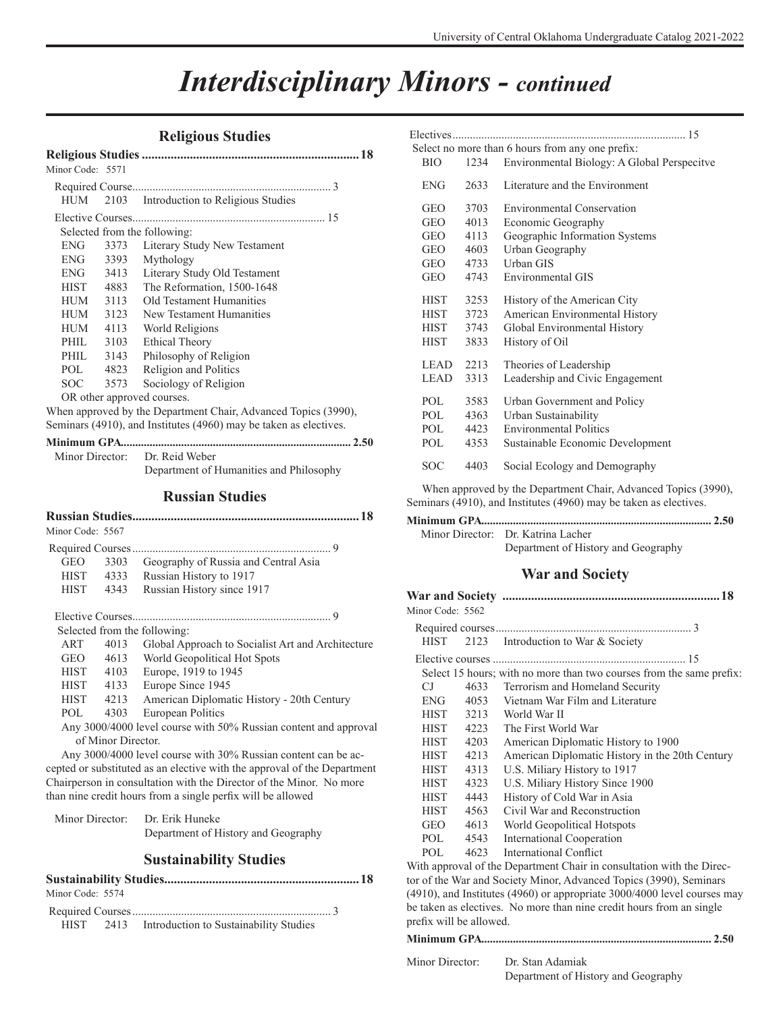### *Interdisciplinary Minors - continued*

### **Religious Studies**

| Minor Code: 5571 |      |                                                                   |
|------------------|------|-------------------------------------------------------------------|
|                  |      |                                                                   |
| HUM              |      | 2103 Introduction to Religious Studies                            |
|                  |      |                                                                   |
|                  |      | Selected from the following:                                      |
| <b>ENG</b>       | 3373 | Literary Study New Testament                                      |
| ENG              | 3393 | Mythology                                                         |
| ENG 3413         |      | Literary Study Old Testament                                      |
| <b>HIST</b>      | 4883 | The Reformation, 1500-1648                                        |
| HUM              | 3113 | Old Testament Humanities                                          |
| HUM              | 3123 | New Testament Humanities                                          |
| HUM              | 4113 | World Religions                                                   |
| PHIL             | 3103 | Ethical Theory                                                    |
| PHIL 3143        |      | Philosophy of Religion                                            |
| POL 4823         |      | Religion and Politics                                             |
| SOC.             | 3573 | Sociology of Religion                                             |
|                  |      | OR other approved courses.                                        |
|                  |      | When approved by the Department Chair, Advanced Topics (3990),    |
|                  |      | Seminars (4910), and Institutes (4960) may be taken as electives. |

**Minimum GPA................................................................................ 2.50** Minor Director: Dr. Reid Weber

Department of Humanities and Philosophy

#### **Russian Studies**

| Minor Code: 5567 |                    |                                                                          |
|------------------|--------------------|--------------------------------------------------------------------------|
|                  |                    |                                                                          |
| <b>GEO</b>       | 3303               | Geography of Russia and Central Asia                                     |
|                  | HIST 4333          | Russian History to 1917                                                  |
|                  | HIST 4343          | Russian History since 1917                                               |
|                  |                    |                                                                          |
|                  |                    | Selected from the following:                                             |
| ART              | 4013               | Global Approach to Socialist Art and Architecture                        |
|                  |                    | GEO 4613 World Geopolitical Hot Spots                                    |
|                  |                    | HIST 4103 Europe, 1919 to 1945                                           |
|                  |                    | HIST 4133 Europe Since 1945                                              |
|                  |                    | HIST 4213 American Diplomatic History - 20th Century                     |
| POL              | 4303               | European Politics                                                        |
|                  |                    | Any 3000/4000 level course with 50% Russian content and approval         |
|                  | of Minor Director. |                                                                          |
|                  |                    | Any 3000/4000 level course with 30% Russian content can be ac-           |
|                  |                    | cepted or substituted as an elective with the approval of the Department |
|                  |                    | Chairperson in consultation with the Director of the Minor. No more      |
|                  |                    | than nine credit hours from a single perfix will be allowed              |
|                  |                    | Minor Directory Dr. Erik Hunoko                                          |

| Minor Director: | Dr. Erik Huneke                     |
|-----------------|-------------------------------------|
|                 | Department of History and Geography |

### **Sustainability Studies**

| Minor Code: 5574 |                                                  |  |
|------------------|--------------------------------------------------|--|
|                  |                                                  |  |
|                  | HIST 2413 Introduction to Sustainability Studies |  |

|                         |      | Select no more than 6 hours from any one prefix: |  |
|-------------------------|------|--------------------------------------------------|--|
| <b>BIO</b>              | 1234 | Environmental Biology: A Global Perspecitve      |  |
| <b>ENG</b>              | 2633 | Literature and the Environment                   |  |
| <b>GEO</b>              | 3703 | <b>Environmental Conservation</b>                |  |
| <b>GEO</b>              | 4013 | Economic Geography                               |  |
| <b>GEO</b>              | 4113 | Geographic Information Systems                   |  |
| GEO                     | 4603 | Urban Geography                                  |  |
| GEO                     | 4733 | Urban GIS                                        |  |
| <b>GEO</b>              | 4743 | Environmental GIS                                |  |
| <b>HIST</b>             | 3253 | History of the American City                     |  |
| <b>HIST</b>             | 3723 | American Environmental History                   |  |
| <b>HIST</b>             | 3743 | Global Environmental History                     |  |
| HIST                    | 3833 | History of Oil                                   |  |
| <b>LEAD</b>             | 2213 | Theories of Leadership                           |  |
| <b>LEAD</b>             | 3313 | Leadership and Civic Engagement                  |  |
| <b>POL</b>              | 3583 | Urban Government and Policy                      |  |
| POL <b>Form</b>         | 4363 | Urban Sustainability                             |  |
| POL FOR THE POLE TO PUT | 4423 | <b>Environmental Politics</b>                    |  |
| POL                     | 4353 | Sustainable Economic Development                 |  |
| SOC                     | 4403 | Social Ecology and Demography                    |  |

When approved by the Department Chair, Advanced Topics (3990), Seminars (4910), and Institutes (4960) may be taken as electives.

| Minor Director: Dr. Katrina Lacher  |
|-------------------------------------|
| Department of History and Geography |

### **War and Society**

| Minor Code: 5562 |      |                                                                       |
|------------------|------|-----------------------------------------------------------------------|
|                  |      |                                                                       |
| <b>HIST</b>      |      | 2123 Introduction to War & Society                                    |
|                  |      |                                                                       |
|                  |      | Select 15 hours; with no more than two courses from the same prefix:  |
| CJ.              |      | 4633 Terrorism and Homeland Security                                  |
| ENG-             | 4053 | Vietnam War Film and Literature                                       |
| <b>HIST</b>      | 3213 | World War II                                                          |
| <b>HIST</b>      | 4223 | The First World War                                                   |
| <b>HIST</b>      | 4203 | American Diplomatic History to 1900                                   |
| <b>HIST</b>      | 4213 | American Diplomatic History in the 20th Century                       |
| <b>HIST</b>      | 4313 | U.S. Miliary History to 1917                                          |
| <b>HIST</b>      | 4323 | U.S. Miliary History Since 1900                                       |
| <b>HIST</b>      | 4443 | History of Cold War in Asia                                           |
| <b>HIST</b>      | 4563 | Civil War and Reconstruction                                          |
| GEO.             | 4613 | World Geopolitical Hotspots                                           |
| POL.             | 4543 | International Cooperation                                             |
| POL              | 4623 | International Conflict                                                |
|                  |      | With approval of the Department Chair in consultation with the Direc- |

With approval of the Department Chair in consultation with the Director of the War and Society Minor, Advanced Topics (3990), Seminars (4910), and Institutes (4960) or appropriate 3000/4000 level courses may be taken as electives. No more than nine credit hours from an single prefix will be allowed.

### **Minimum GPA................................................................................ 2.50**

| Minor Director: | Dr. Stan Adamiak                    |
|-----------------|-------------------------------------|
|                 | Department of History and Geography |